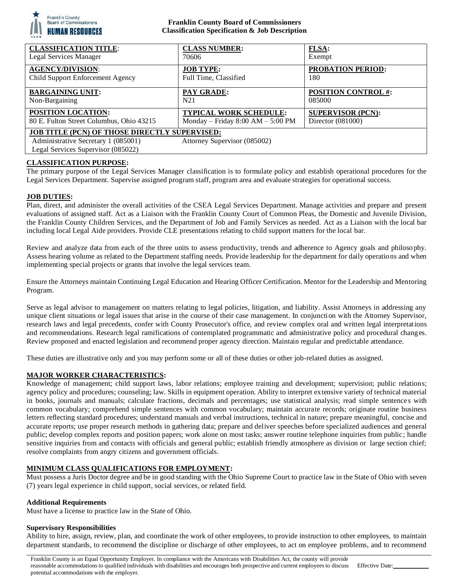

#### **Franklin County Board of Commissioners Classification Specification & Job Description**

| <b>CLASSIFICATION TITLE:</b>                                                                                                                                      | <b>CLASS NUMBER:</b>              | FLSA:                      |
|-------------------------------------------------------------------------------------------------------------------------------------------------------------------|-----------------------------------|----------------------------|
| <b>Legal Services Manager</b>                                                                                                                                     | 70606                             | Exempt                     |
| <b>AGENCY/DIVISION:</b>                                                                                                                                           | <b>JOB TYPE:</b>                  | PROBATION PERIOD:          |
| Child Support Enforcement Agency                                                                                                                                  | Full Time, Classified             | 180                        |
| <b>BARGAINING UNIT:</b>                                                                                                                                           | PAY GRADE:                        | <b>POSITION CONTROL #:</b> |
| Non-Bargaining                                                                                                                                                    | N <sub>21</sub>                   | 085000                     |
| POSITION LOCATION:                                                                                                                                                | <b>TYPICAL WORK SCHEDULE:</b>     | <b>SUPERVISOR (PCN):</b>   |
| 80 E. Fulton Street Columbus, Ohio 43215                                                                                                                          | Monday - Friday 8:00 AM - 5:00 PM | Director (081000)          |
| <b>JOB TITLE (PCN) OF THOSE DIRECTLY SUPERVISED:</b><br>Attorney Supervisor (085002)<br>Administrative Secretary 1 (085001)<br>Legal Services Supervisor (085022) |                                   |                            |

## **CLASSIFICATION PURPOSE:**

The primary purpose of the Legal Services Manager classification is to formulate policy and establish operational procedures for the Legal Services Department. Supervise assigned program staff, program area and evaluate strategies for operational success.

### **JOB DUTIES:**

Plan, direct, and administer the overall activities of the CSEA Legal Services Department. Manage activities and prepare and present evaluations of assigned staff. Act as a Liaison with the Franklin County Court of Common Pleas, the Domestic and Juvenile Division, the Franklin County Children Services, and the Department of Job and Family Services as needed. Act as a Liaison with the local bar including local Legal Aide providers. Provide CLE presentations relating to child support matters for the local bar.

Review and analyze data from each of the three units to assess productivity, trends and adherence to Agency goals and philosophy. Assess hearing volume as related to the Department staffing needs. Provide leadership for the department for daily operations and when implementing special projects or grants that involve the legal services team.

Ensure the Attorneys maintain Continuing Legal Education and Hearing Officer Certification. Mentor for the Leadership and Mentoring Program.

Serve as legal advisor to management on matters relating to legal policies, litigation, and liability. Assist Attorneys in addressing any unique client situations or legal issues that arise in the course of their case management. In conjunction with the Attorney Supervisor, research laws and legal precedents, confer with County Prosecutor's office, and review complex oral and written legal interpretations and recommendations. Research legal ramifications of contemplated programmatic and administrative policy and procedural changes. Review proposed and enacted legislation and recommend proper agency direction. Maintain regular and predictable attendance.

These duties are illustrative only and you may perform some or all of these duties or other job-related duties as assigned.

### **MAJOR WORKER CHARACTERISTICS:**

Knowledge of management; child support laws, labor relations; employee training and development; supervision; public relations; agency policy and procedures; counseling; law. Skills in equipment operation. Ability to interpret extensive variety of technical material in books, journals and manuals; calculate fractions, decimals and percentages; use statistical analysis; read simple sentence s with common vocabulary; comprehend simple sentences with common vocabulary; maintain accurate records; originate routine business letters reflecting standard procedures; understand manuals and verbal instructions, technical in nature; prepare meaningful, concise and accurate reports; use proper research methods in gathering data; prepare and deliver speeches before specialized audiences and general public; develop complex reports and position papers; work alone on most tasks; answer routine telephone inquiries from public; handle sensitive inquiries from and contacts with officials and general public; establish friendly atmosphere as division or large section chief; resolve complaints from angry citizens and government officials.

### **MINIMUM CLASS QUALIFICATIONS FOR EMPLOYMENT:**

Must possess a Juris Doctor degree and be in good standing with the Ohio Supreme Court to practice law in the State of Ohio with seven (7) years legal experience in child support, social services, or related field.

#### **Additional Requirements**

Must have a license to practice law in the State of Ohio.

### **Supervisory Responsibilities**

Ability to hire, assign, review, plan, and coordinate the work of other employees, to provide instruction to other employees, to maintain department standards, to recommend the discipline or discharge of other employees, to act on employee problems, and to recommend